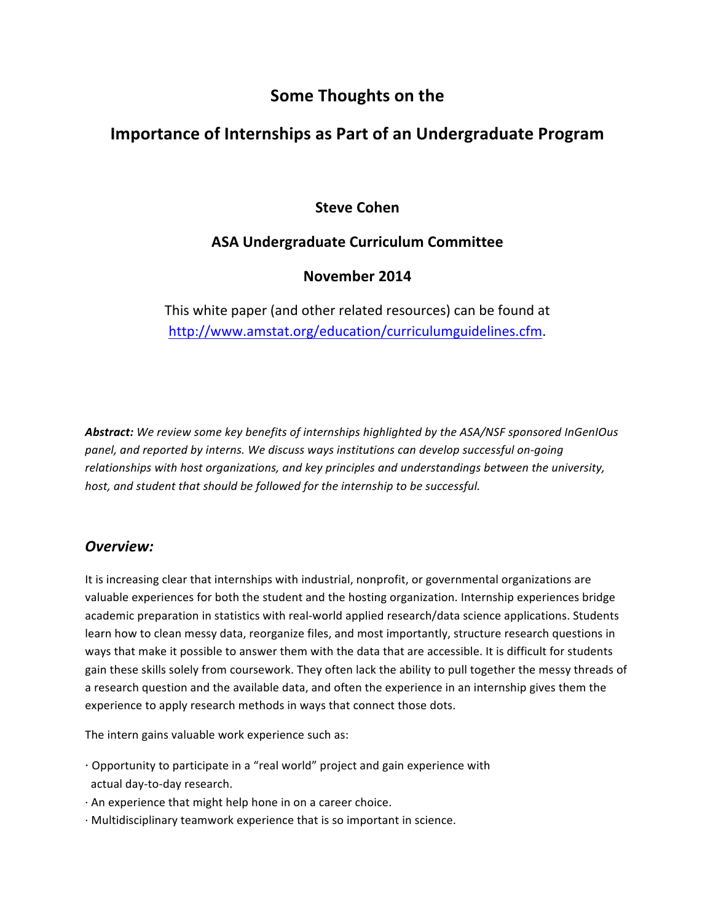# **Some Thoughts on the**

# **Importance of Internships as Part of an Undergraduate Program**

# **Steve Cohen**

# **ASA Undergraduate Curriculum Committee**

# **November 2014**

This white paper (and other related resources) can be found at http://www.amstat.org/education/curriculumguidelines.cfm.

Abstract: We review some key benefits of internships highlighted by the ASA/NSF sponsored InGenIOus panel, and reported by interns. We discuss ways institutions can develop successful on-going relationships with host organizations, and key principles and understandings between the university, host, and student that should be followed for the internship to be successful.

### *Overview:*

It is increasing clear that internships with industrial, nonprofit, or governmental organizations are valuable experiences for both the student and the hosting organization. Internship experiences bridge academic preparation in statistics with real-world applied research/data science applications. Students learn how to clean messy data, reorganize files, and most importantly, structure research questions in ways that make it possible to answer them with the data that are accessible. It is difficult for students gain these skills solely from coursework. They often lack the ability to pull together the messy threads of a research question and the available data, and often the experience in an internship gives them the experience to apply research methods in ways that connect those dots.

The intern gains valuable work experience such as:

- $\cdot$  Opportunity to participate in a "real world" project and gain experience with actual day-to-day research.
- $\cdot$  An experience that might help hone in on a career choice.
- $\cdot$  Multidisciplinary teamwork experience that is so important in science.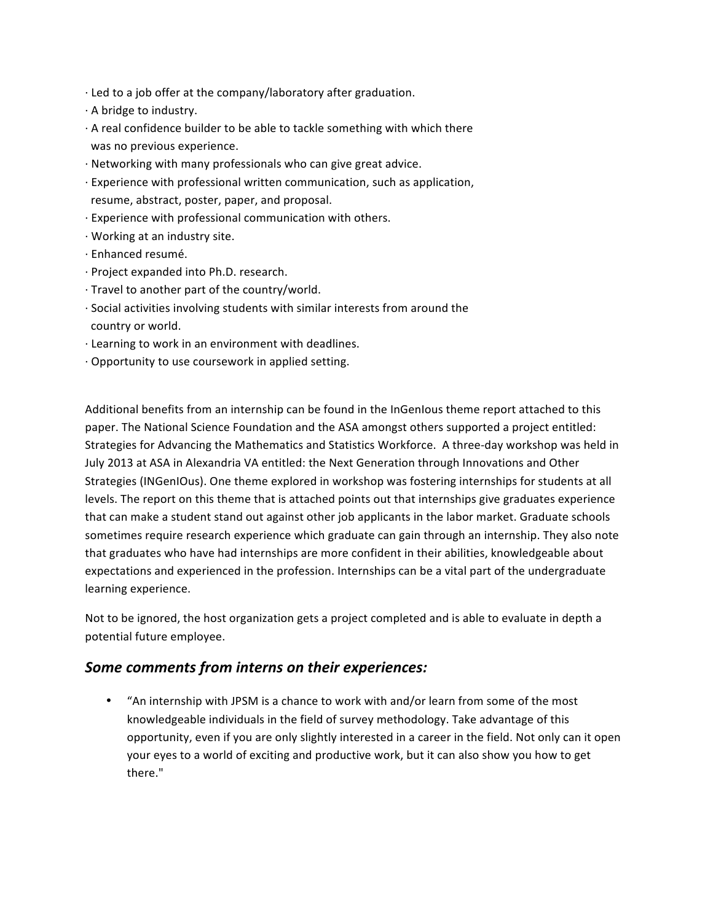- $\cdot$  Led to a job offer at the company/laboratory after graduation.
- $\cdot$  A bridge to industry.
- $\cdot$  A real confidence builder to be able to tackle something with which there was no previous experience.
- $\cdot$  Networking with many professionals who can give great advice.
- $\cdot$  Experience with professional written communication, such as application, resume, abstract, poster, paper, and proposal.
- $\cdot$  Experience with professional communication with others.
- · Working at an industry site.
- · Enhanced resumé.
- · Project expanded into Ph.D. research.
- $\cdot$  Travel to another part of the country/world.
- $\cdot$  Social activities involving students with similar interests from around the country or world.
- · Learning to work in an environment with deadlines.
- $\cdot$  Opportunity to use coursework in applied setting.

Additional benefits from an internship can be found in the InGenIous theme report attached to this paper. The National Science Foundation and the ASA amongst others supported a project entitled: Strategies for Advancing the Mathematics and Statistics Workforce. A three-day workshop was held in July 2013 at ASA in Alexandria VA entitled: the Next Generation through Innovations and Other Strategies (INGenIOus). One theme explored in workshop was fostering internships for students at all levels. The report on this theme that is attached points out that internships give graduates experience that can make a student stand out against other job applicants in the labor market. Graduate schools sometimes require research experience which graduate can gain through an internship. They also note that graduates who have had internships are more confident in their abilities, knowledgeable about expectations and experienced in the profession. Internships can be a vital part of the undergraduate learning experience.

Not to be ignored, the host organization gets a project completed and is able to evaluate in depth a potential future employee.

#### Some comments from interns on their experiences:

• "An internship with JPSM is a chance to work with and/or learn from some of the most knowledgeable individuals in the field of survey methodology. Take advantage of this opportunity, even if you are only slightly interested in a career in the field. Not only can it open your eyes to a world of exciting and productive work, but it can also show you how to get there."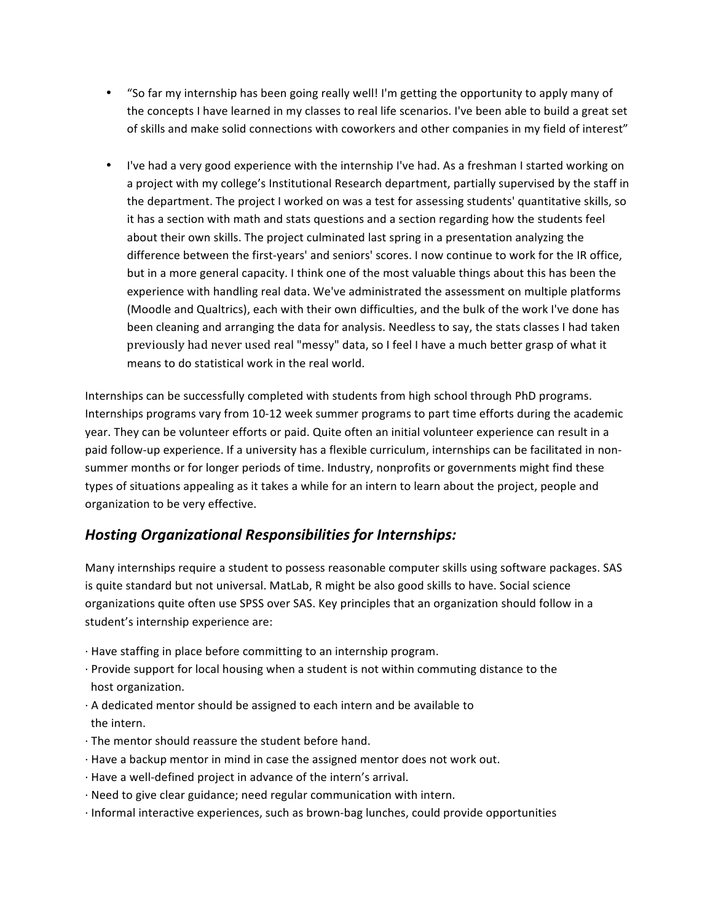- "So far my internship has been going really well! I'm getting the opportunity to apply many of the concepts I have learned in my classes to real life scenarios. I've been able to build a great set of skills and make solid connections with coworkers and other companies in my field of interest"
- I've had a very good experience with the internship I've had. As a freshman I started working on a project with my college's Institutional Research department, partially supervised by the staff in the department. The project I worked on was a test for assessing students' quantitative skills, so it has a section with math and stats questions and a section regarding how the students feel about their own skills. The project culminated last spring in a presentation analyzing the difference between the first-years' and seniors' scores. I now continue to work for the IR office, but in a more general capacity. I think one of the most valuable things about this has been the experience with handling real data. We've administrated the assessment on multiple platforms (Moodle and Qualtrics), each with their own difficulties, and the bulk of the work I've done has been cleaning and arranging the data for analysis. Needless to say, the stats classes I had taken previously had never used real "messy" data, so I feel I have a much better grasp of what it means to do statistical work in the real world.

Internships can be successfully completed with students from high school through PhD programs. Internships programs vary from 10-12 week summer programs to part time efforts during the academic year. They can be volunteer efforts or paid. Quite often an initial volunteer experience can result in a paid follow-up experience. If a university has a flexible curriculum, internships can be facilitated in nonsummer months or for longer periods of time. Industry, nonprofits or governments might find these types of situations appealing as it takes a while for an intern to learn about the project, people and organization to be very effective.

### *Hosting Organizational Responsibilities for Internships:*

Many internships require a student to possess reasonable computer skills using software packages. SAS is quite standard but not universal. MatLab, R might be also good skills to have. Social science organizations quite often use SPSS over SAS. Key principles that an organization should follow in a student's internship experience are:

- · Have staffing in place before committing to an internship program.
- $\cdot$  Provide support for local housing when a student is not within commuting distance to the host organization.
- $\cdot$  A dedicated mentor should be assigned to each intern and be available to the intern.
- $\cdot$  The mentor should reassure the student before hand.
- · Have a backup mentor in mind in case the assigned mentor does not work out.
- $\cdot$  Have a well-defined project in advance of the intern's arrival.
- $\cdot$  Need to give clear guidance; need regular communication with intern.
- $\cdot$  Informal interactive experiences, such as brown-bag lunches, could provide opportunities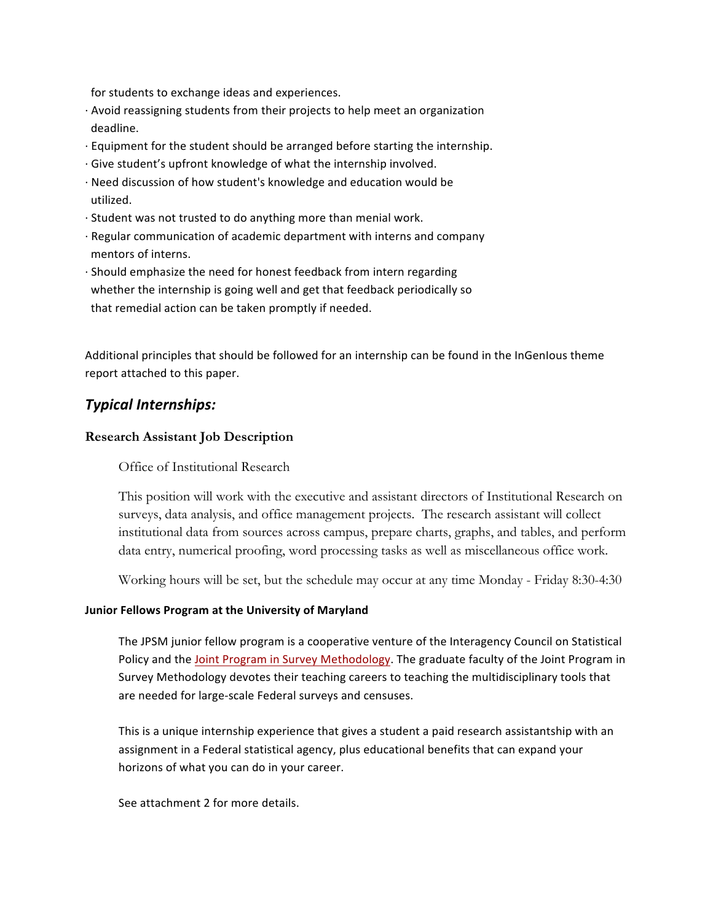for students to exchange ideas and experiences.

- $\cdot$  Avoid reassigning students from their projects to help meet an organization deadline.
- $\cdot$  Equipment for the student should be arranged before starting the internship.
- $\cdot$  Give student's upfront knowledge of what the internship involved.
- $\cdot$  Need discussion of how student's knowledge and education would be utilized.
- $\cdot$  Student was not trusted to do anything more than menial work.
- · Regular communication of academic department with interns and company mentors of interns.
- $\cdot$  Should emphasize the need for honest feedback from intern regarding whether the internship is going well and get that feedback periodically so that remedial action can be taken promptly if needed.

Additional principles that should be followed for an internship can be found in the InGenIous theme report attached to this paper.

#### *Typical Internships:*

#### **Research Assistant Job Description**

Office of Institutional Research

This position will work with the executive and assistant directors of Institutional Research on surveys, data analysis, and office management projects. The research assistant will collect institutional data from sources across campus, prepare charts, graphs, and tables, and perform data entry, numerical proofing, word processing tasks as well as miscellaneous office work.

Working hours will be set, but the schedule may occur at any time Monday - Friday 8:30-4:30

#### **Junior Fellows Program at the University of Maryland**

The JPSM junior fellow program is a cooperative venture of the Interagency Council on Statistical Policy and the Joint Program in Survey Methodology. The graduate faculty of the Joint Program in Survey Methodology devotes their teaching careers to teaching the multidisciplinary tools that are needed for large-scale Federal surveys and censuses.

This is a unique internship experience that gives a student a paid research assistantship with an assignment in a Federal statistical agency, plus educational benefits that can expand your horizons of what you can do in your career.

See attachment 2 for more details.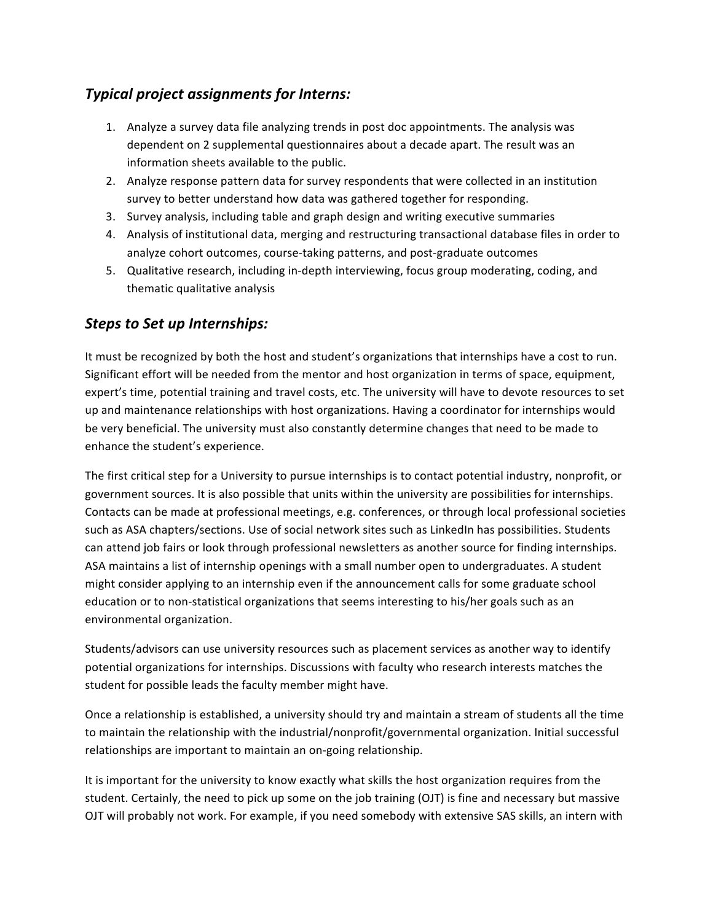# *Typical project assignments for Interns:*

- 1. Analyze a survey data file analyzing trends in post doc appointments. The analysis was dependent on 2 supplemental questionnaires about a decade apart. The result was an information sheets available to the public.
- 2. Analyze response pattern data for survey respondents that were collected in an institution survey to better understand how data was gathered together for responding.
- 3. Survey analysis, including table and graph design and writing executive summaries
- 4. Analysis of institutional data, merging and restructuring transactional database files in order to analyze cohort outcomes, course-taking patterns, and post-graduate outcomes
- 5. Qualitative research, including in-depth interviewing, focus group moderating, coding, and thematic qualitative analysis

# *Steps to Set up Internships:*

It must be recognized by both the host and student's organizations that internships have a cost to run. Significant effort will be needed from the mentor and host organization in terms of space, equipment, expert's time, potential training and travel costs, etc. The university will have to devote resources to set up and maintenance relationships with host organizations. Having a coordinator for internships would be very beneficial. The university must also constantly determine changes that need to be made to enhance the student's experience.

The first critical step for a University to pursue internships is to contact potential industry, nonprofit, or government sources. It is also possible that units within the university are possibilities for internships. Contacts can be made at professional meetings, e.g. conferences, or through local professional societies such as ASA chapters/sections. Use of social network sites such as LinkedIn has possibilities. Students can attend job fairs or look through professional newsletters as another source for finding internships. ASA maintains a list of internship openings with a small number open to undergraduates. A student might consider applying to an internship even if the announcement calls for some graduate school education or to non-statistical organizations that seems interesting to his/her goals such as an environmental organization.

Students/advisors can use university resources such as placement services as another way to identify potential organizations for internships. Discussions with faculty who research interests matches the student for possible leads the faculty member might have.

Once a relationship is established, a university should try and maintain a stream of students all the time to maintain the relationship with the industrial/nonprofit/governmental organization. Initial successful relationships are important to maintain an on-going relationship.

It is important for the university to know exactly what skills the host organization requires from the student. Certainly, the need to pick up some on the job training (OJT) is fine and necessary but massive OJT will probably not work. For example, if you need somebody with extensive SAS skills, an intern with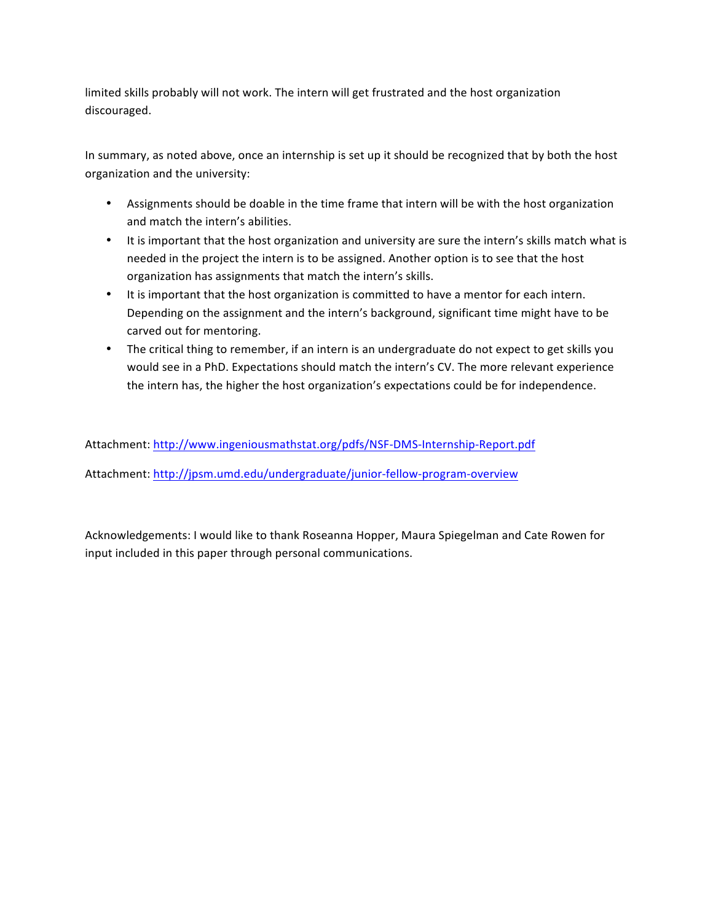limited skills probably will not work. The intern will get frustrated and the host organization discouraged.

In summary, as noted above, once an internship is set up it should be recognized that by both the host organization and the university:

- Assignments should be doable in the time frame that intern will be with the host organization and match the intern's abilities.
- It is important that the host organization and university are sure the intern's skills match what is needed in the project the intern is to be assigned. Another option is to see that the host organization has assignments that match the intern's skills.
- It is important that the host organization is committed to have a mentor for each intern. Depending on the assignment and the intern's background, significant time might have to be carved out for mentoring.
- The critical thing to remember, if an intern is an undergraduate do not expect to get skills you would see in a PhD. Expectations should match the intern's CV. The more relevant experience the intern has, the higher the host organization's expectations could be for independence.

Attachment: http://www.ingeniousmathstat.org/pdfs/NSF-DMS-Internship-Report.pdf

Attachment: http://jpsm.umd.edu/undergraduate/junior-fellow-program-overview

Acknowledgements: I would like to thank Roseanna Hopper, Maura Spiegelman and Cate Rowen for input included in this paper through personal communications.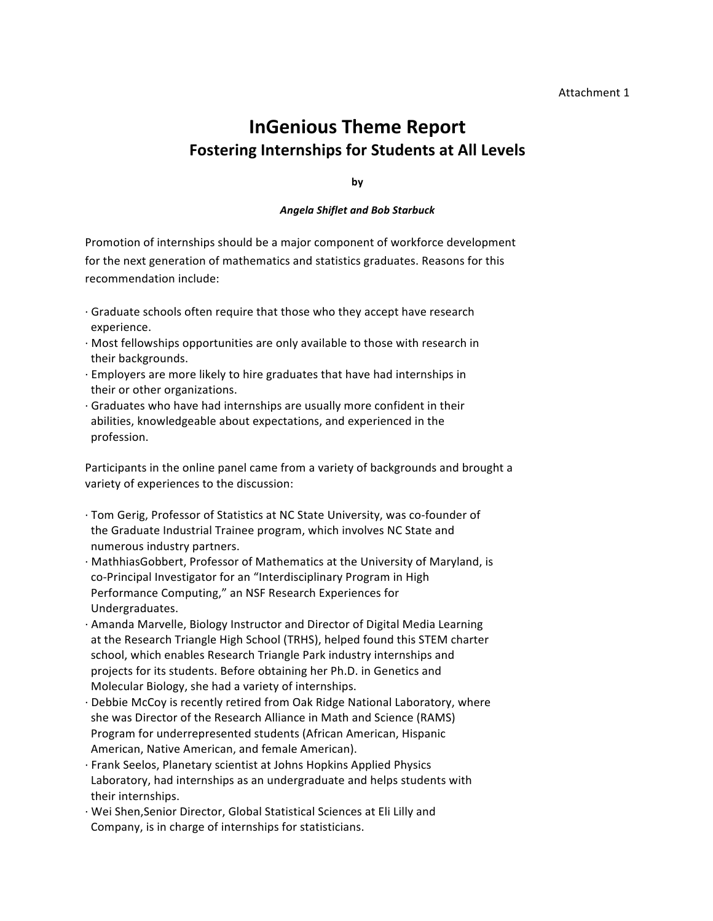# **InGenious Theme Report Fostering Internships for Students at All Levels**

**by**

#### *Angela Shiflet and Bob Starbuck*

Promotion of internships should be a major component of workforce development for the next generation of mathematics and statistics graduates. Reasons for this recommendation include:

- $\cdot$  Graduate schools often require that those who they accept have research experience.
- $\cdot$  Most fellowships opportunities are only available to those with research in their backgrounds.
- $\cdot$  Employers are more likely to hire graduates that have had internships in their or other organizations.
- $\cdot$  Graduates who have had internships are usually more confident in their abilities, knowledgeable about expectations, and experienced in the profession.

Participants in the online panel came from a variety of backgrounds and brought a variety of experiences to the discussion:

- · Tom Gerig, Professor of Statistics at NC State University, was co-founder of the Graduate Industrial Trainee program, which involves NC State and numerous industry partners.
- · MathhiasGobbert, Professor of Mathematics at the University of Maryland, is co-Principal Investigator for an "Interdisciplinary Program in High Performance Computing," an NSF Research Experiences for Undergraduates.
- · Amanda Marvelle, Biology Instructor and Director of Digital Media Learning at the Research Triangle High School (TRHS), helped found this STEM charter school, which enables Research Triangle Park industry internships and projects for its students. Before obtaining her Ph.D. in Genetics and Molecular Biology, she had a variety of internships.
- · Debbie McCoy is recently retired from Oak Ridge National Laboratory, where she was Director of the Research Alliance in Math and Science (RAMS) Program for underrepresented students (African American, Hispanic American, Native American, and female American).
- · Frank Seelos, Planetary scientist at Johns Hopkins Applied Physics Laboratory, had internships as an undergraduate and helps students with their internships.
- · Wei Shen,Senior Director, Global Statistical Sciences at Eli Lilly and Company, is in charge of internships for statisticians.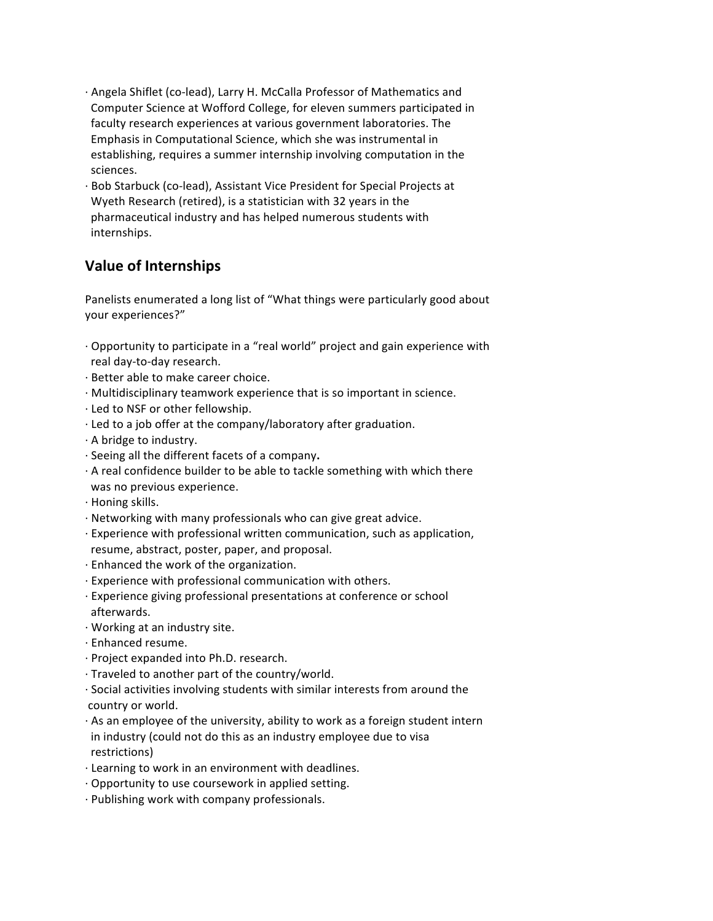- · Angela Shiflet (co-lead), Larry H. McCalla Professor of Mathematics and Computer Science at Wofford College, for eleven summers participated in faculty research experiences at various government laboratories. The Emphasis in Computational Science, which she was instrumental in establishing, requires a summer internship involving computation in the sciences.
- · Bob Starbuck (co-lead), Assistant Vice President for Special Projects at Wyeth Research (retired), is a statistician with 32 years in the pharmaceutical industry and has helped numerous students with internships.

# **Value of Internships**

Panelists enumerated a long list of "What things were particularly good about your experiences?"

- $\cdot$  Opportunity to participate in a "real world" project and gain experience with real day-to-day research.
- · Better able to make career choice.
- $\cdot$  Multidisciplinary teamwork experience that is so important in science.
- · Led to NSF or other fellowship.
- · Led to a job offer at the company/laboratory after graduation.
- $\cdot$  A bridge to industry.
- · Seeing all the different facets of a company**.**
- $\cdot$  A real confidence builder to be able to tackle something with which there was no previous experience.
- $\cdot$  Honing skills.
- $\cdot$  Networking with many professionals who can give great advice.
- · Experience with professional written communication, such as application, resume, abstract, poster, paper, and proposal.
- $\cdot$  Enhanced the work of the organization.
- $\cdot$  Experience with professional communication with others.
- · Experience giving professional presentations at conference or school afterwards.
- · Working at an industry site.
- · Enhanced resume.
- · Project expanded into Ph.D. research.
- $\cdot$  Traveled to another part of the country/world.
- $\cdot$  Social activities involving students with similar interests from around the country or world.
- $\cdot$  As an employee of the university, ability to work as a foreign student intern in industry (could not do this as an industry employee due to visa restrictions)
- · Learning to work in an environment with deadlines.
- $\cdot$  Opportunity to use coursework in applied setting.
- · Publishing work with company professionals.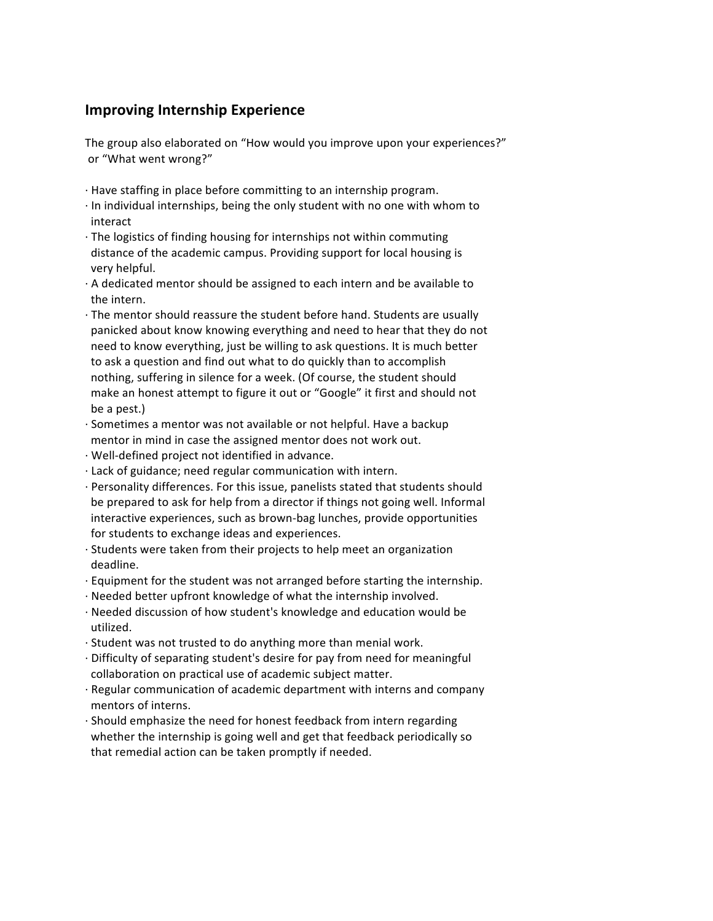# **Improving Internship Experience**

The group also elaborated on "How would you improve upon your experiences?" or "What went wrong?"

- · Have staffing in place before committing to an internship program.
- $\cdot$  In individual internships, being the only student with no one with whom to interact
- $\cdot$  The logistics of finding housing for internships not within commuting distance of the academic campus. Providing support for local housing is very helpful.
- $\cdot$  A dedicated mentor should be assigned to each intern and be available to the intern.
- $\cdot$  The mentor should reassure the student before hand. Students are usually panicked about know knowing everything and need to hear that they do not need to know everything, just be willing to ask questions. It is much better to ask a question and find out what to do quickly than to accomplish nothing, suffering in silence for a week. (Of course, the student should make an honest attempt to figure it out or "Google" it first and should not be a pest.)
- $\cdot$  Sometimes a mentor was not available or not helpful. Have a backup mentor in mind in case the assigned mentor does not work out.
- · Well-defined project not identified in advance.
- $\cdot$  Lack of guidance; need regular communication with intern.
- · Personality differences. For this issue, panelists stated that students should be prepared to ask for help from a director if things not going well. Informal interactive experiences, such as brown-bag lunches, provide opportunities for students to exchange ideas and experiences.
- $\cdot$  Students were taken from their projects to help meet an organization deadline.
- $\cdot$  Equipment for the student was not arranged before starting the internship.
- $\cdot$  Needed better upfront knowledge of what the internship involved.
- · Needed discussion of how student's knowledge and education would be utilized.
- $\cdot$  Student was not trusted to do anything more than menial work.
- · Difficulty of separating student's desire for pay from need for meaningful collaboration on practical use of academic subject matter.
- · Regular communication of academic department with interns and company mentors of interns.
- $\cdot$  Should emphasize the need for honest feedback from intern regarding whether the internship is going well and get that feedback periodically so that remedial action can be taken promptly if needed.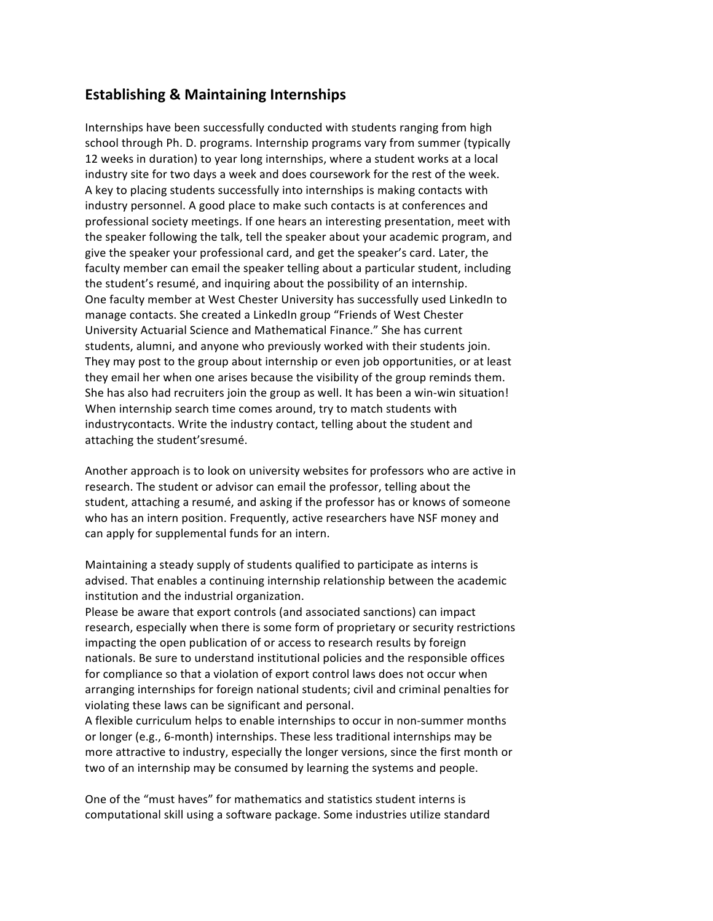#### **Establishing & Maintaining Internships**

Internships have been successfully conducted with students ranging from high school through Ph. D. programs. Internship programs vary from summer (typically 12 weeks in duration) to year long internships, where a student works at a local industry site for two days a week and does coursework for the rest of the week. A key to placing students successfully into internships is making contacts with industry personnel. A good place to make such contacts is at conferences and professional society meetings. If one hears an interesting presentation, meet with the speaker following the talk, tell the speaker about your academic program, and give the speaker your professional card, and get the speaker's card. Later, the faculty member can email the speaker telling about a particular student, including the student's resumé, and inquiring about the possibility of an internship. One faculty member at West Chester University has successfully used LinkedIn to manage contacts. She created a LinkedIn group "Friends of West Chester University Actuarial Science and Mathematical Finance." She has current students, alumni, and anyone who previously worked with their students join. They may post to the group about internship or even job opportunities, or at least they email her when one arises because the visibility of the group reminds them. She has also had recruiters join the group as well. It has been a win-win situation! When internship search time comes around, try to match students with industrycontacts. Write the industry contact, telling about the student and attaching the student'sresumé.

Another approach is to look on university websites for professors who are active in research. The student or advisor can email the professor, telling about the student, attaching a resumé, and asking if the professor has or knows of someone who has an intern position. Frequently, active researchers have NSF money and can apply for supplemental funds for an intern.

Maintaining a steady supply of students qualified to participate as interns is advised. That enables a continuing internship relationship between the academic institution and the industrial organization.

Please be aware that export controls (and associated sanctions) can impact research, especially when there is some form of proprietary or security restrictions impacting the open publication of or access to research results by foreign nationals. Be sure to understand institutional policies and the responsible offices for compliance so that a violation of export control laws does not occur when arranging internships for foreign national students; civil and criminal penalties for violating these laws can be significant and personal.

A flexible curriculum helps to enable internships to occur in non-summer months or longer (e.g., 6-month) internships. These less traditional internships may be more attractive to industry, especially the longer versions, since the first month or two of an internship may be consumed by learning the systems and people.

One of the "must haves" for mathematics and statistics student interns is computational skill using a software package. Some industries utilize standard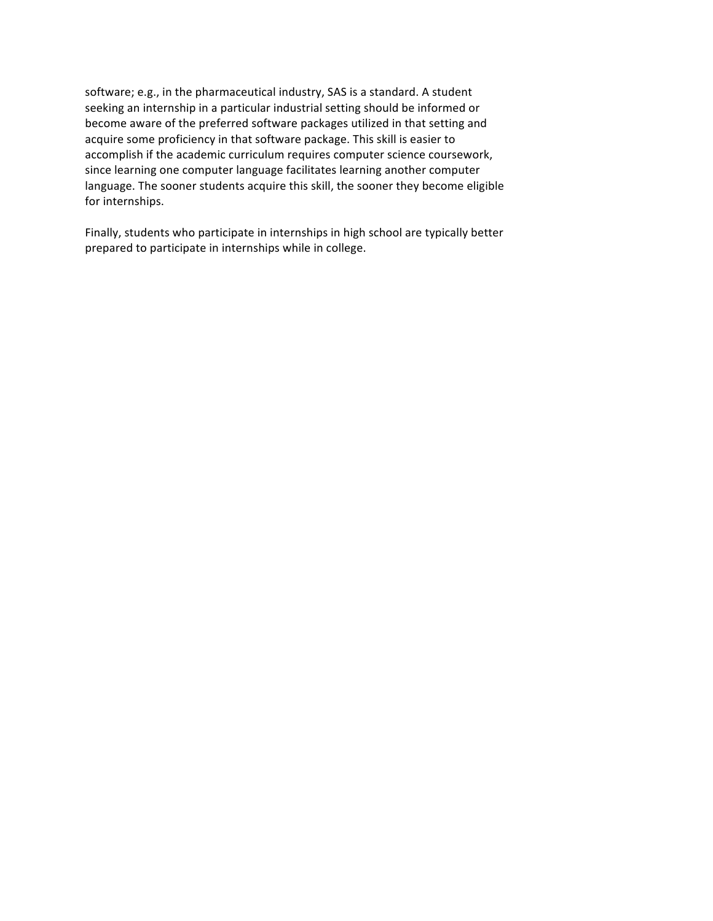software; e.g., in the pharmaceutical industry, SAS is a standard. A student seeking an internship in a particular industrial setting should be informed or become aware of the preferred software packages utilized in that setting and acquire some proficiency in that software package. This skill is easier to accomplish if the academic curriculum requires computer science coursework, since learning one computer language facilitates learning another computer language. The sooner students acquire this skill, the sooner they become eligible for internships.

Finally, students who participate in internships in high school are typically better prepared to participate in internships while in college.